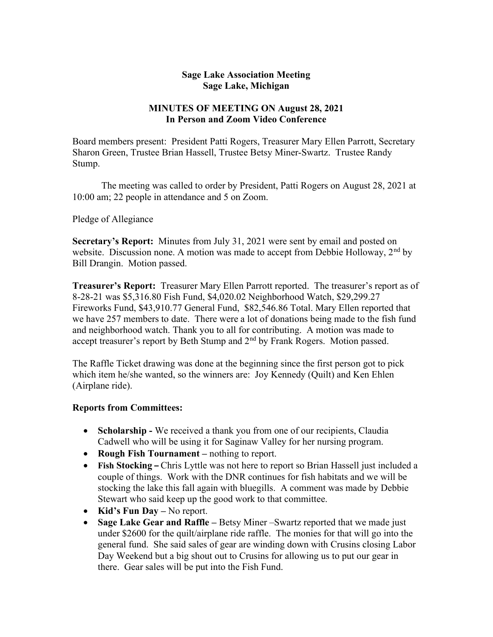## Sage Lake Association Meeting Sage Lake, Michigan

## MINUTES OF MEETING ON August 28, 2021 In Person and Zoom Video Conference

Board members present: President Patti Rogers, Treasurer Mary Ellen Parrott, Secretary Sharon Green, Trustee Brian Hassell, Trustee Betsy Miner-Swartz. Trustee Randy Stump.

 The meeting was called to order by President, Patti Rogers on August 28, 2021 at 10:00 am; 22 people in attendance and 5 on Zoom.

Pledge of Allegiance

Secretary's Report: Minutes from July 31, 2021 were sent by email and posted on website. Discussion none. A motion was made to accept from Debbie Holloway,  $2<sup>nd</sup>$  by Bill Drangin. Motion passed.

Treasurer's Report: Treasurer Mary Ellen Parrott reported. The treasurer's report as of 8-28-21 was \$5,316.80 Fish Fund, \$4,020.02 Neighborhood Watch, \$29,299.27 Fireworks Fund, \$43,910.77 General Fund, \$82,546.86 Total. Mary Ellen reported that we have 257 members to date. There were a lot of donations being made to the fish fund and neighborhood watch. Thank you to all for contributing. A motion was made to accept treasurer's report by Beth Stump and 2<sup>nd</sup> by Frank Rogers. Motion passed.

The Raffle Ticket drawing was done at the beginning since the first person got to pick which item he/she wanted, so the winners are: Joy Kennedy (Quilt) and Ken Ehlen (Airplane ride).

## Reports from Committees:

- Scholarship We received a thank you from one of our recipients, Claudia Cadwell who will be using it for Saginaw Valley for her nursing program.
- Rough Fish Tournament nothing to report.
- Fish Stocking Chris Lyttle was not here to report so Brian Hassell just included a couple of things. Work with the DNR continues for fish habitats and we will be stocking the lake this fall again with bluegills. A comment was made by Debbie Stewart who said keep up the good work to that committee.
- Kid's Fun Day No report.
- Sage Lake Gear and Raffle Betsy Miner –Swartz reported that we made just under \$2600 for the quilt/airplane ride raffle. The monies for that will go into the general fund. She said sales of gear are winding down with Crusins closing Labor Day Weekend but a big shout out to Crusins for allowing us to put our gear in there. Gear sales will be put into the Fish Fund.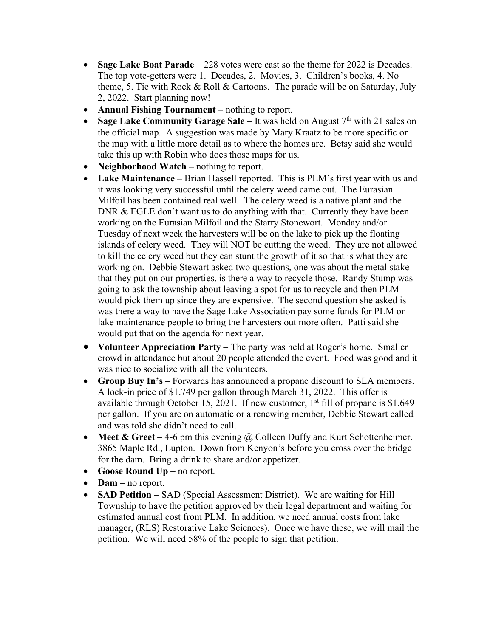- Sage Lake Boat Parade 228 votes were cast so the theme for 2022 is Decades. The top vote-getters were 1. Decades, 2. Movies, 3. Children's books, 4. No theme, 5. Tie with Rock & Roll & Cartoons. The parade will be on Saturday, July 2, 2022. Start planning now!
- Annual Fishing Tournament nothing to report.
- Sage Lake Community Garage Sale It was held on August  $7<sup>th</sup>$  with 21 sales on the official map. A suggestion was made by Mary Kraatz to be more specific on the map with a little more detail as to where the homes are. Betsy said she would take this up with Robin who does those maps for us.
- Neighborhood Watch nothing to report.
- Lake Maintenance Brian Hassell reported. This is PLM's first year with us and it was looking very successful until the celery weed came out. The Eurasian Milfoil has been contained real well. The celery weed is a native plant and the DNR & EGLE don't want us to do anything with that. Currently they have been working on the Eurasian Milfoil and the Starry Stonewort. Monday and/or Tuesday of next week the harvesters will be on the lake to pick up the floating islands of celery weed. They will NOT be cutting the weed. They are not allowed to kill the celery weed but they can stunt the growth of it so that is what they are working on. Debbie Stewart asked two questions, one was about the metal stake that they put on our properties, is there a way to recycle those. Randy Stump was going to ask the township about leaving a spot for us to recycle and then PLM would pick them up since they are expensive. The second question she asked is was there a way to have the Sage Lake Association pay some funds for PLM or lake maintenance people to bring the harvesters out more often. Patti said she would put that on the agenda for next year.
- Volunteer Appreciation Party The party was held at Roger's home. Smaller crowd in attendance but about 20 people attended the event. Food was good and it was nice to socialize with all the volunteers.
- Group Buy In's Forwards has announced a propane discount to SLA members. A lock-in price of \$1.749 per gallon through March 31, 2022. This offer is available through October 15, 2021. If new customer,  $1<sup>st</sup>$  fill of propane is \$1.649 per gallon. If you are on automatic or a renewing member, Debbie Stewart called and was told she didn't need to call.
- Meet & Greet 4-6 pm this evening  $\omega$  Colleen Duffy and Kurt Schottenheimer. 3865 Maple Rd., Lupton. Down from Kenyon's before you cross over the bridge for the dam. Bring a drink to share and/or appetizer.
- Goose Round Up no report.
- Dam no report.
- SAD Petition SAD (Special Assessment District). We are waiting for Hill Township to have the petition approved by their legal department and waiting for estimated annual cost from PLM. In addition, we need annual costs from lake manager, (RLS) Restorative Lake Sciences). Once we have these, we will mail the petition. We will need 58% of the people to sign that petition.